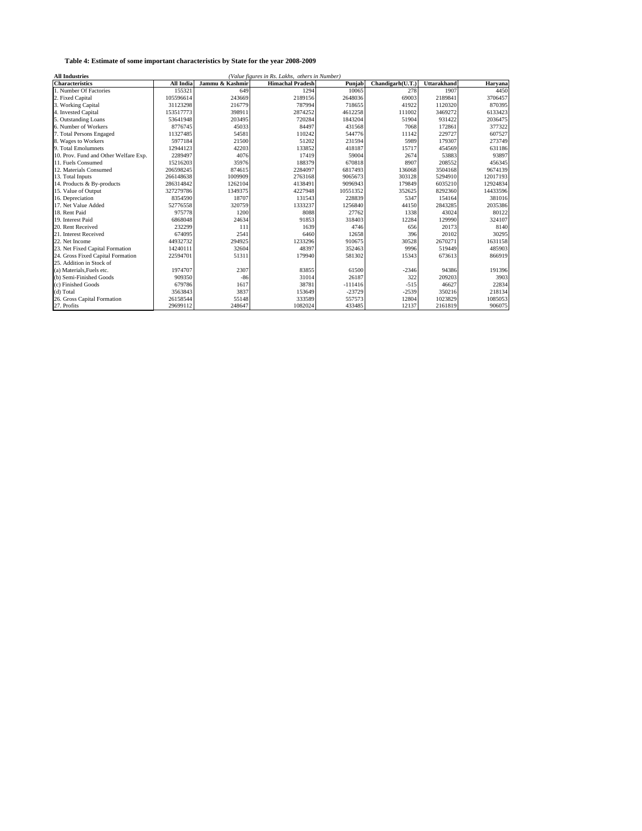| <b>All Industries</b><br>(Value figures in Rs. Lakhs, others in Number) |                  |                 |                         |           |                  |                    |          |
|-------------------------------------------------------------------------|------------------|-----------------|-------------------------|-----------|------------------|--------------------|----------|
| <b>Characteristics</b>                                                  | <b>All India</b> | Jammu & Kashmir | <b>Himachal Pradesh</b> | Punjab    | Chandigarh(U.T.) | <b>Uttarakhand</b> | Haryana  |
| 1. Number Of Factories                                                  | 155321           | 649             | 1294                    | 10065     | 278              | 1907               | 4450     |
| 2. Fixed Capital                                                        | 105596614        | 243669          | 2189156                 | 2648036   | 69003            | 2189841            | 3706457  |
| 3. Working Capital                                                      | 31123298         | 216779          | 787994                  | 718655    | 41922            | 1120320            | 870395   |
| 4. Invested Capital                                                     | 153517773        | 398911          | 2874252                 | 4612258   | 111002           | 3469272            | 6133423  |
| 5. Outstanding Loans                                                    | 53641948         | 203495          | 720284                  | 1843204   | 51904            | 931422             | 2036475  |
| 6. Number of Workers                                                    | 8776745          | 45033           | 84497                   | 431568    | 7068             | 172861             | 377322   |
| 7. Total Persons Engaged                                                | 11327485         | 54581           | 110242                  | 544776    | 11142            | 229727             | 607527   |
| 8. Wages to Workers                                                     | 5977184          | 21500           | 51202                   | 231594    | 5989             | 179307             | 273749   |
| 9. Total Emolumnets                                                     | 12944123         | 42203           | 133852                  | 418187    | 15717            | 454569             | 631186   |
| 10. Prov. Fund and Other Welfare Exp.                                   | 2289497          | 4076            | 17419                   | 59004     | 2674             | 53883              | 93897    |
| 11. Fuels Consumed                                                      | 15216203         | 35976           | 188379                  | 670818    | 8907             | 208552             | 456345   |
| 12. Materials Consumed                                                  | 206598245        | 874615          | 2284097                 | 6817493   | 136068           | 3504168            | 9674139  |
| 13. Total Inputs                                                        | 266148638        | 1009909         | 2763168                 | 9065673   | 303128           | 5294910            | 12017193 |
| 14. Products & By-products                                              | 286314842        | 1262104         | 4138491                 | 9096943   | 179849           | 6035210            | 12924834 |
| 15. Value of Output                                                     | 327279786        | 1349375         | 4227948                 | 10551352  | 352625           | 8292360            | 14433596 |
| 16. Depreciation                                                        | 8354590          | 18707           | 131543                  | 228839    | 5347             | 154164             | 381016   |
| 17. Net Value Added                                                     | 52776558         | 320759          | 1333237                 | 1256840   | 44150            | 2843285            | 2035386  |
| 18. Rent Paid                                                           | 975778           | 1200            | 8088                    | 27762     | 1338             | 43024              | 80122    |
| 19. Interest Paid                                                       | 6868048          | 24634           | 91853                   | 318403    | 12284            | 129990             | 324107   |
| 20. Rent Received                                                       | 232299           | 111             | 1639                    | 4746      | 656              | 20173              | 8140     |
| 21. Interest Received                                                   | 674095           | 2541            | 6460                    | 12658     | 396              | 20102              | 30295    |
| 22. Net Income                                                          | 44932732         | 294925          | 1233296                 | 910675    | 30528            | 2670271            | 1631158  |
| 23. Net Fixed Capital Formation                                         | 14240111         | 32604           | 48397                   | 352463    | 9996             | 519449             | 485903   |
| 24. Gross Fixed Capital Formation                                       | 22594701         | 51311           | 179940                  | 581302    | 15343            | 673613             | 866919   |
| 25. Addition in Stock of                                                |                  |                 |                         |           |                  |                    |          |
| (a) Materials. Fuels etc.                                               | 1974707          | 2307            | 83855                   | 61500     | $-2346$          | 94386              | 191396   |
| (b) Semi-Finished Goods                                                 | 909350           | $-86$           | 31014                   | 26187     | 322              | 209203             | 3903     |
| (c) Finished Goods                                                      | 679786           | 1617            | 38781                   | $-111416$ | $-515$           | 46627              | 22834    |
| (d) Total                                                               | 3563843          | 3837            | 153649                  | $-23729$  | $-2539$          | 350216             | 218134   |
| 26. Gross Capital Formation                                             | 26158544         | 55148           | 333589                  | 557573    | 12804            | 1023829            | 1085053  |
| 27. Profits                                                             | 29699112         | 248647          | 1082024                 | 433485    | 12137            | 2161819            | 906075   |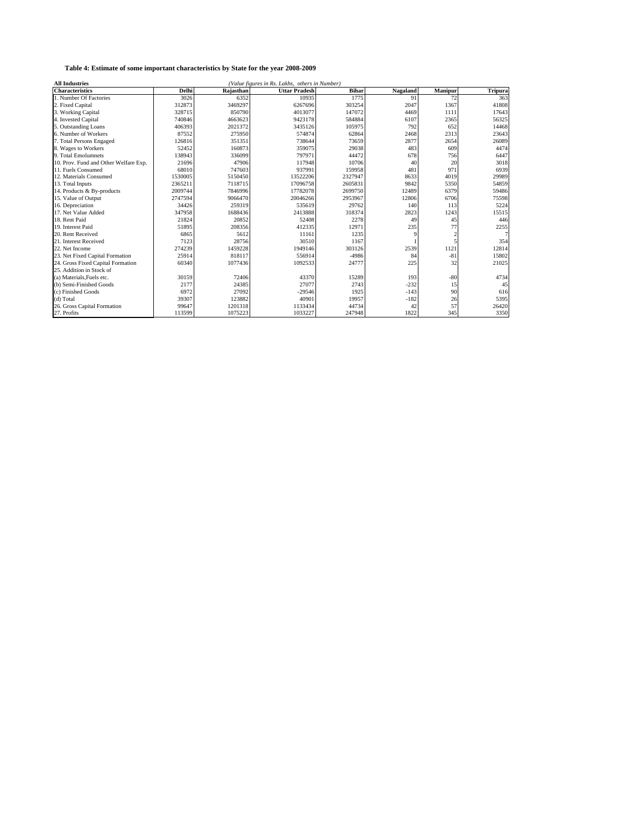| (Value figures in Rs. Lakhs, others in Number)<br><b>All Industries</b> |         |           |                      |              |          |                |                |
|-------------------------------------------------------------------------|---------|-----------|----------------------|--------------|----------|----------------|----------------|
| <b>Characteristics</b>                                                  | Delhi   | Raiasthan | <b>Uttar Pradesh</b> | <b>Bihar</b> | Nagaland | Manipur        | <b>Tripura</b> |
| 1. Number Of Factories                                                  | 3026    | 6352      | 10935                | 1775         | 91       | 72             | 363            |
| 2. Fixed Capital                                                        | 312873  | 3469297   | 6267696              | 303254       | 2047     | 1367           | 41808          |
| 3. Working Capital                                                      | 328715  | 850790    | 4013077              | 147072       | 4469     | 1111           | 17643          |
| 4. Invested Capital                                                     | 740846  | 4663623   | 9423178              | 584884       | 6107     | 2365           | 56325          |
| 5. Outstanding Loans                                                    | 406393  | 2021372   | 3435126              | 105975       | 792      | 652            | 14468          |
| 6. Number of Workers                                                    | 87552   | 275950    | 574874               | 62864        | 2468     | 2313           | 23643          |
| 7. Total Persons Engaged                                                | 126816  | 351351    | 738644               | 73659        | 2877     | 2654           | 26089          |
| 8. Wages to Workers                                                     | 52452   | 160873    | 359075               | 29038        | 483      | 609            | 4474           |
| 9. Total Emolumnets                                                     | 138943  | 336099    | 797971               | 44472        | 678      | 756            | 6447           |
| 10. Prov. Fund and Other Welfare Exp.                                   | 21696   | 47906     | 117948               | 10706        | 40       | 20             | 3018           |
| 11. Fuels Consumed                                                      | 68010   | 747603    | 937991               | 159958       | 481      | 971            | 6939           |
| 12. Materials Consumed                                                  | 1530005 | 5150450   | 13522206             | 2327947      | 8633     | 4019           | 29989          |
| 13. Total Inputs                                                        | 2365211 | 7118715   | 17096758             | 2605831      | 9842     | 5350           | 54859          |
| 14. Products & By-products                                              | 2009744 | 7846996   | 17782078             | 2699750      | 12489    | 6379           | 59486          |
| 15. Value of Output                                                     | 2747594 | 9066470   | 20046266             | 2953967      | 12806    | 6706           | 75598          |
| 16. Depreciation                                                        | 34426   | 259319    | 535619               | 29762        | 140      | 113            | 5224           |
| 17. Net Value Added                                                     | 347958  | 1688436   | 2413888              | 318374       | 2823     | 1243           | 15515          |
| 18. Rent Paid                                                           | 21824   | 20852     | 52408                | 2278         | 49       | 45             | 446            |
| 19. Interest Paid                                                       | 51895   | 208356    | 412335               | 12971        | 235      | 77             | 2255           |
| 20. Rent Received                                                       | 6865    | 5612      | 11161                | 1235         |          | $\overline{2}$ |                |
| 21. Interest Received                                                   | 7123    | 28756     | 30510                | 1167         |          |                | 354            |
| 22. Net Income                                                          | 274239  | 1459228   | 1949146              | 303126       | 2539     | 1121           | 12814          |
| 23. Net Fixed Capital Formation                                         | 25914   | 818117    | 556914               | $-4986$      | 84       | $-81$          | 15802          |
| 24. Gross Fixed Capital Formation                                       | 60340   | 1077436   | 1092533              | 24777        | 225      | 32             | 21025          |
| 25. Addition in Stock of                                                |         |           |                      |              |          |                |                |
| (a) Materials, Fuels etc.                                               | 30159   | 72406     | 43370                | 15289        | 193      | $-80$          | 4734           |
| (b) Semi-Finished Goods                                                 | 2177    | 24385     | 27077                | 2743         | $-232$   | 15             | 45             |
| (c) Finished Goods                                                      | 6972    | 27092     | $-29546$             | 1925         | $-143$   | 90             | 616            |
| (d) Total                                                               | 39307   | 123882    | 40901                | 19957        | $-182$   | 26             | 5395           |
| 26. Gross Capital Formation                                             | 99647   | 1201318   | 1133434              | 44734        | 42       | 57             | 26420          |
| 27. Profits                                                             | 113599  | 1075223   | 1033227              | 247948       | 1822     | 345            | 3350           |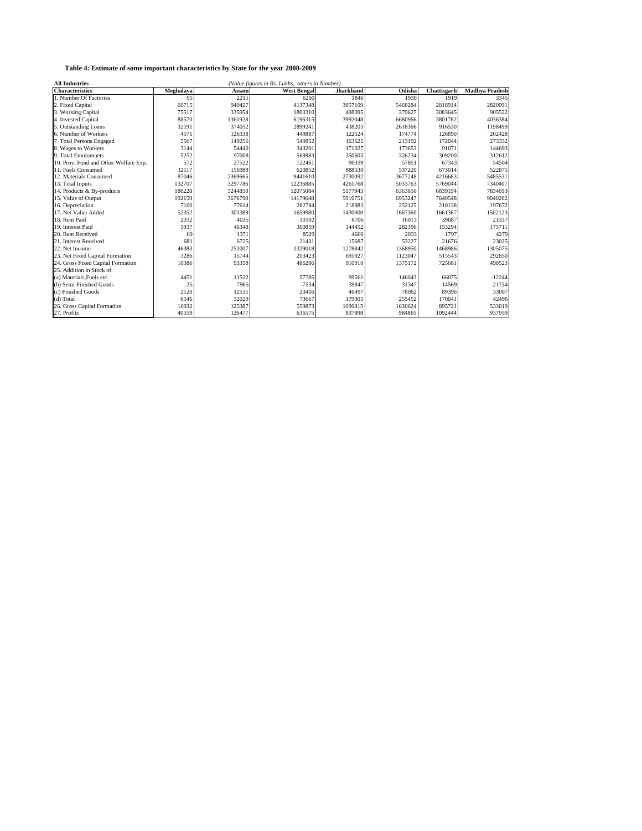| <b>All Industries</b><br>(Value figures in Rs. Lakhs, others in Number) |           |         |                    |           |         |             |                       |
|-------------------------------------------------------------------------|-----------|---------|--------------------|-----------|---------|-------------|-----------------------|
| <b>Characteristics</b>                                                  | Meghalaya | Assam   | <b>West Bengal</b> | Jharkhand | Odisha  | Chattisgarh | <b>Madhva Pradesh</b> |
| 1. Number Of Factories                                                  | 95        | 2211    | 6260               | 1846      | 1930    | 1919        | 3345                  |
| 2. Fixed Capital                                                        | 60715     | 940427  | 4137348            | 3057109   | 5468284 | 2818914     | 2820091               |
| 3. Working Capital                                                      | 75517     | 335954  | 1803310            | 498095    | 379627  | 3083645     | 905522                |
| 4. Invested Capital                                                     | 88570     | 1361928 | 6196315            | 3992048   | 6680966 | 3801782     | 4036384               |
| 5. Outstanding Loans                                                    | 32191     | 374052  | 2899241            | 438203    | 2618366 | 916530      | 1198499               |
| 6. Number of Workers                                                    | 4571      | 126338  | 449887             | 122524    | 174774  | 126890      | 202428                |
| 7. Total Persons Engaged                                                | 5567      | 149256  | 549852             | 163625    | 213192  | 172044      | 273332                |
| 8. Wages to Workers                                                     | 3144      | 54440   | 343201             | 171027    | 173653  | 91071       | 144693                |
| 9. Total Emolumnets                                                     | 5252      | 97008   | 569983             | 350605    | 326234  | 309200      | 312612                |
| 10. Prov. Fund and Other Welfare Exp.                                   | 572       | 27522   | 122461             | 90339     | 57851   | 67343       | 54504                 |
| 11. Fuels Consumed                                                      | 32117     | 156988  | 620852             | 888530    | 537220  | 673014      | 522875                |
| 12. Materials Consumed                                                  | 87046     | 2369665 | 9441610            | 2730092   | 3677248 | 4216683     | 5485531               |
| 13. Total Inputs                                                        | 132707    | 3297786 | 12236885           | 4261768   | 5033763 | 5769044     | 7340407               |
| 14. Products & By-products                                              | 186228    | 3244850 | 12075084           | 5177943   | 6363656 | 6839194     | 7834693               |
| 15. Value of Output                                                     | 192159    | 3676790 | 14179648           | 5910751   | 6953247 | 7640548     | 9040202               |
| 16. Depreciation                                                        | 7100      | 77614   | 282784             | 218983    | 252125  | 210138      | 197672                |
| 17. Net Value Added                                                     | 52352     | 301389  | 1659980            | 1430000   | 1667360 | 1661367     | 1502123               |
| 18. Rent Paid                                                           | 2032      | 4035    | 30102              | 6706      | 16013   | 39087       | 21337                 |
| 19. Interest Paid                                                       | 3937      | 46348   | 300859             | 144452    | 282396  | 153294      | 175711                |
| 20. Rent Received                                                       | 69        | 1371    | 8529               | 4660      | 2033    | 1797        | 4279                  |
| 21. Interest Received                                                   | 681       | 6725    | 21431              | 15687     | 53227   | 21676       | 23025                 |
| 22. Net Income                                                          | 46383     | 251007  | 1329018            | 1278842   | 1368950 | 1468986     | 1305075               |
| 23. Net Fixed Capital Formation                                         | 3286      | 15744   | 203423             | 691927    | 1123047 | 515543      | 292850                |
| 24. Gross Fixed Capital Formation                                       | 10386     | 93358   | 486206             | 910910    | 1375172 | 725681      | 490523                |
| 25. Addition in Stock of                                                |           |         |                    |           |         |             |                       |
| (a) Materials.Fuels etc.                                                | 4451      | 11532   | 57785              | 99561     | 146043  | 66075       | $-12244$              |
| (b) Semi-Finished Goods                                                 | $-25$     | 7965    | $-7534$            | 39847     | 31347   | 14569       | 21734                 |
| (c) Finished Goods                                                      | 2120      | 12531   | 23416              | 40497     | 78062   | 89396       | 33007                 |
| (d) Total                                                               | 6546      | 32029   | 73667              | 179905    | 255452  | 170041      | 42496                 |
| 26. Gross Capital Formation                                             | 16932     | 125387  | 559873             | 1090815   | 1630624 | 895721      | 533019                |
| 27. Profits                                                             | 40559     | 126477  | 636575             | 837898    | 984865  | 1092444     | 937959                |